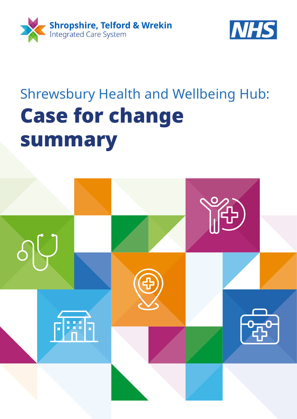



# Shrewsbury Health and Wellbeing Hub: Case for change summary

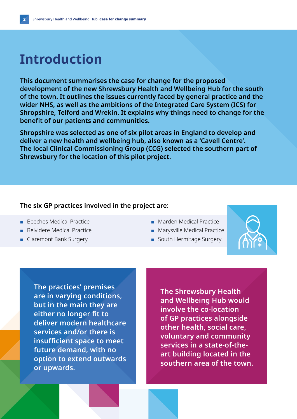## **Introduction**

**This document summarises the case for change for the proposed development of the new Shrewsbury Health and Wellbeing Hub for the south of the town. It outlines the issues currently faced by general practice and the wider NHS, as well as the ambitions of the Integrated Care System (ICS) for Shropshire, Telford and Wrekin. It explains why things need to change for the benefit of our patients and communities.** 

**Shropshire was selected as one of six pilot areas in England to develop and deliver a new health and wellbeing hub, also known as a 'Cavell Centre'. The local Clinical Commissioning Group (CCG) selected the southern part of Shrewsbury for the location of this pilot project.** 

#### **The six GP practices involved in the project are:**

- Beeches Medical Practice
- Belvidere Medical Practice
- Claremont Bank Surgery
- Marden Medical Practice
- Marysville Medical Practice
- South Hermitage Surgery



**The practices' premises are in varying conditions, but in the main they are either no longer fit to deliver modern healthcare services and/or there is insufficient space to meet future demand, with no option to extend outwards or upwards.**

**The Shrewsbury Health and Wellbeing Hub would involve the co-location of GP practices alongside other health, social care, voluntary and community services in a state-of-theart building located in the southern area of the town.**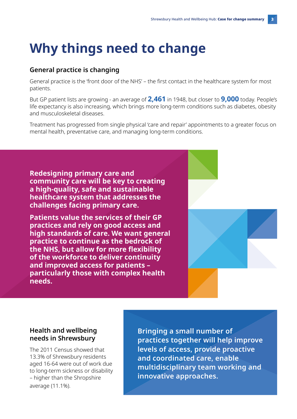## **Why things need to change**

#### **General practice is changing**

General practice is the 'front door of the NHS' – the first contact in the healthcare system for most patients.

But GP patient lists are growing - an average of **2,461** in 1948, but closer to **9,000** today. People's life expectancy is also increasing, which brings more long-term conditions such as diabetes, obesity and musculoskeletal diseases.

Treatment has progressed from single physical 'care and repair' appointments to a greater focus on mental health, preventative care, and managing long-term conditions.

**Redesigning primary care and community care will be key to creating a high-quality, safe and sustainable healthcare system that addresses the challenges facing primary care.** 

**Patients value the services of their GP practices and rely on good access and high standards of care. We want general practice to continue as the bedrock of the NHS, but allow for more flexibility of the workforce to deliver continuity and improved access for patients – particularly those with complex health needs.**



#### **Health and wellbeing needs in Shrewsbury**

The 2011 Census showed that 13.3% of Shrewsbury residents aged 16-64 were out of work due to long-term sickness or disability – higher than the Shropshire average (11.1%).

**Bringing a small number of practices together will help improve levels of access, provide proactive and coordinated care, enable multidisciplinary team working and innovative approaches.**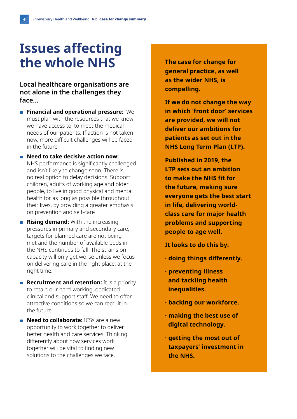### **Issues affecting the whole NHS**

**Local healthcare organisations are not alone in the challenges they face...** 

- **Financial and operational pressure:** We must plan with the resources that we know we have access to, to meet the medical needs of our patients. If action is not taken now, more difficult challenges will be faced in the future
- **Need to take decisive action now:** NHS performance is significantly challenged and isn't likely to change soon. There is no real option to delay decisions. Support children, adults of working age and older people, to live in good physical and mental health for as long as possible throughout their lives, by providing a greater emphasis on prevention and self-care
- **Rising demand:** With the increasing pressures in primary and secondary care, targets for planned care are not being met and the number of available beds in the NHS continues to fall. The strains on capacity will only get worse unless we focus on delivering care in the right place, at the right time.
- **Recruitment and retention:** It is a priority to retain our hard-working, dedicated clinical and support staff. We need to offer attractive conditions so we can recruit in the future.
- **Need to collaborate:** ICSs are a new opportunity to work together to deliver better health and care services. Thinking differently about how services work together will be vital to finding new solutions to the challenges we face.

**The case for change for general practice, as well as the wider NHS, is compelling.**

**If we do not change the way in which 'front door' services are provided, we will not deliver our ambitions for patients as set out in the NHS Long Term Plan (LTP).**

**Published in 2019, the LTP sets out an ambition to make the NHS fit for the future, making sure everyone gets the best start in life, delivering worldclass care for major health problems and supporting people to age well.** 

**It looks to do this by:**

- **· doing things differently.**
- **· preventing illness and tackling health inequalities.**
- **· backing our workforce.**
- **· making the best use of digital technology.**
- **· getting the most out of taxpayers' investment in the NHS.**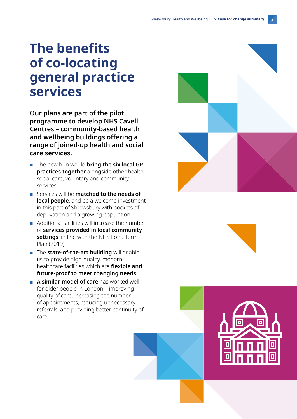### **The benefits of co-locating general practice services**

**Our plans are part of the pilot programme to develop NHS Cavell Centres – community-based health and wellbeing buildings offering a range of joined-up health and social care services.** 

- The new hub would **bring the six local GP practices together** alongside other health, social care, voluntary and community services
- Services will be **matched to the needs of local people**, and be a welcome investment in this part of Shrewsbury with pockets of deprivation and a growing population
- Additional facilities will increase the number of **services provided in local community settings**, in line with the NHS Long Term Plan (2019)
- The **state-of-the-art building** will enable us to provide high-quality, modern healthcare facilities which are **flexible and future-proof to meet changing needs**
- **A similar model of care** has worked well for older people in London – improving quality of care, increasing the number of appointments, reducing unnecessary referrals, and providing better continuity of care.



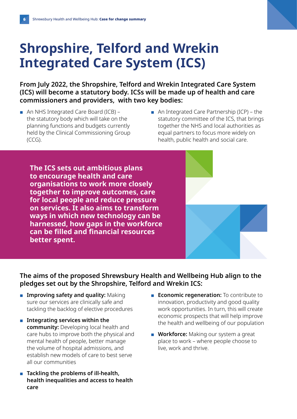# **Shropshire, Telford and Wrekin Integrated Care System (ICS)**

**From July 2022, the Shropshire, Telford and Wrekin Integrated Care System (ICS) will become a statutory body. ICSs will be made up of health and care commissioners and providers, with two key bodies:**

- An NHS Integrated Care Board (ICB) the statutory body which will take on the planning functions and budgets currently held by the Clinical Commissioning Group (CCG).
- An Integrated Care Partnership (ICP) the statutory committee of the ICS, that brings together the NHS and local authorities as equal partners to focus more widely on health, public health and social care.

**The ICS sets out ambitious plans to encourage health and care organisations to work more closely together to improve outcomes, care for local people and reduce pressure on services. It also aims to transform ways in which new technology can be harnessed, how gaps in the workforce can be filled and financial resources better spent.**

#### **The aims of the proposed Shrewsbury Health and Wellbeing Hub align to the pledges set out by the Shropshire, Telford and Wrekin ICS:**

- **Improving safety and quality:** Making sure our services are clinically safe and tackling the backlog of elective procedures
- **Integrating services within the community:** Developing local health and care hubs to improve both the physical and mental health of people, better manage the volume of hospital admissions, and establish new models of care to best serve all our communities
- **Tackling the problems of ill-health, health inequalities and access to health care**
- **Economic regeneration:** To contribute to innovation, productivity and good quality work opportunities. In turn, this will create economic prospects that will help improve the health and wellbeing of our population
- **Workforce:** Making our system a great place to work – where people choose to live, work and thrive.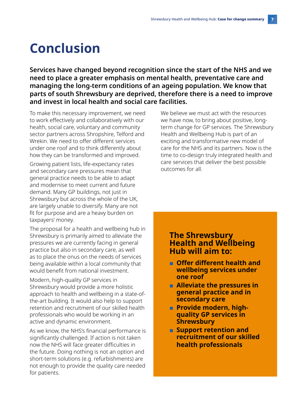### **Conclusion**

**Services have changed beyond recognition since the start of the NHS and we need to place a greater emphasis on mental health, preventative care and managing the long-term conditions of an ageing population. We know that parts of south Shrewsbury are deprived, therefore there is a need to improve and invest in local health and social care facilities.** 

To make this necessary improvement, we need to work effectively and collaboratively with our health, social care, voluntary and community sector partners across Shropshire, Telford and Wrekin. We need to offer different services under one roof and to think differently about how they can be transformed and improved.

Growing patient lists, life-expectancy rates and secondary care pressures mean that general practice needs to be able to adapt and modernise to meet current and future demand. Many GP buildings, not just in Shrewsbury but across the whole of the UK, are largely unable to diversify. Many are not fit for purpose and are a heavy burden on taxpayers' money.

The proposal for a health and wellbeing hub in Shrewsbury is primarily aimed to alleviate the pressures we are currently facing in general practice but also in secondary care, as well as to place the onus on the needs of services being available within a local community that would benefit from national investment.

Modern, high-quality GP services in Shrewsbury would provide a more holistic approach to health and wellbeing in a state-ofthe-art building. It would also help to support retention and recruitment of our skilled health professionals who would be working in an active and dynamic environment.

As we know, the NHS's financial performance is significantly challenged. If action is not taken now the NHS will face greater difficulties in the future. Doing nothing is not an option and short-term solutions (e.g. refurbishments) are not enough to provide the quality care needed for patients.

We believe we must act with the resources we have now, to bring about positive, longterm change for GP services. The Shrewsbury Health and Wellbeing Hub is part of an exciting and transformative new model of care for the NHS and its partners. Now is the time to co-design truly integrated health and care services that deliver the best possible outcomes for all.

#### **The Shrewsbury Health and Wellbeing Hub will aim to:**

- **Offer different health and wellbeing services under one roof**
- **Alleviate the pressures in general practice and in secondary care**
- ■ **Provide modern, highquality GP services in Shrewsbury**
- **Support retention and recruitment of our skilled health professionals**